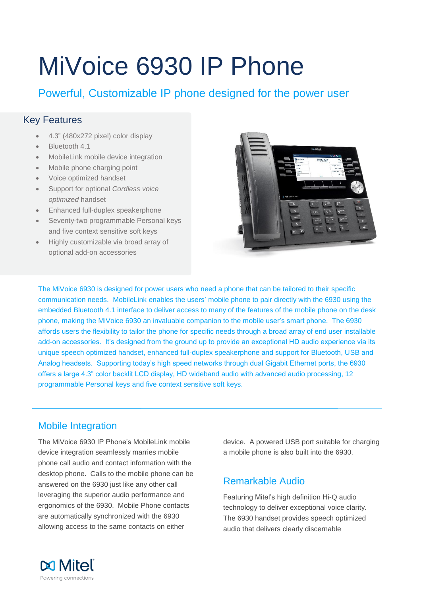# MiVoice 6930 IP Phone

Powerful, Customizable IP phone designed for the power user

# Key Features

- 4.3" (480x272 pixel) color display
- Bluetooth 4.1
- MobileLink mobile device integration
- Mobile phone charging point
- Voice optimized handset
- Support for optional *Cordless voice optimized* handset
- Enhanced full-duplex speakerphone
- Seventy-two programmable Personal keys and five context sensitive soft keys
- Highly customizable via broad array of optional add-on accessories



The MiVoice 6930 is designed for power users who need a phone that can be tailored to their specific communication needs. MobileLink enables the users' mobile phone to pair directly with the 6930 using the embedded Bluetooth 4.1 interface to deliver access to many of the features of the mobile phone on the desk phone, making the MiVoice 6930 an invaluable companion to the mobile user's smart phone. The 6930 affords users the flexibility to tailor the phone for specific needs through a broad array of end user installable add-on accessories. It's designed from the ground up to provide an exceptional HD audio experience via its unique speech optimized handset, enhanced full-duplex speakerphone and support for Bluetooth, USB and Analog headsets. Supporting today's high speed networks through dual Gigabit Ethernet ports, the 6930 offers a large 4.3" color backlit LCD display, HD wideband audio with advanced audio processing, 12 programmable Personal keys and five context sensitive soft keys.

## Mobile Integration

The MiVoice 6930 IP Phone's MobileLink mobile device integration seamlessly marries mobile phone call audio and contact information with the desktop phone. Calls to the mobile phone can be answered on the 6930 just like any other call leveraging the superior audio performance and ergonomics of the 6930. Mobile Phone contacts are automatically synchronized with the 6930 allowing access to the same contacts on either

device. A powered USB port suitable for charging a mobile phone is also built into the 6930.

## Remarkable Audio

Featuring Mitel's high definition Hi-Q audio technology to deliver exceptional voice clarity. The 6930 handset provides speech optimized audio that delivers clearly discernable

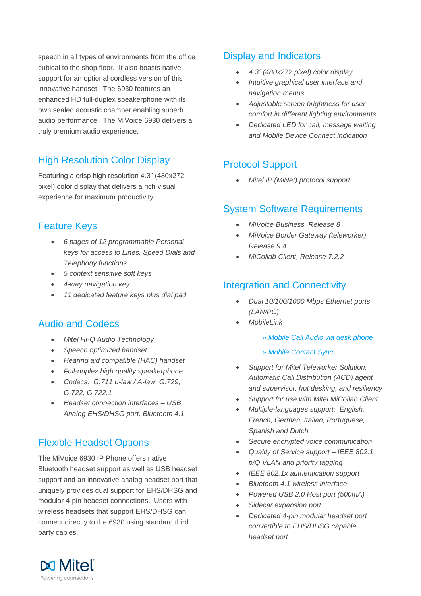speech in all types of environments from the office cubical to the shop floor. It also boasts native support for an optional cordless version of this innovative handset. The 6930 features an enhanced HD full-duplex speakerphone with its own sealed acoustic chamber enabling superb audio performance. The MiVoice 6930 delivers a truly premium audio experience.

# High Resolution Color Display

Featuring a crisp high resolution 4.3" (480x272 pixel) color display that delivers a rich visual experience for maximum productivity.

## Feature Keys

- *6 pages of 12 programmable Personal keys for access to Lines, Speed Dials and Telephony functions*
- *5 context sensitive soft keys*
- *4-way navigation key*
- *11 dedicated feature keys plus dial pad*

## Audio and Codecs

- *Mitel Hi-Q Audio Technology*
- *Speech optimized handset*
- *Hearing aid compatible (HAC) handset*
- *Full-duplex high quality speakerphone*
- *Codecs: G.711 u-law / A-law, G.729, G.722, G.722.1*
- *Headset connection interfaces – USB, Analog EHS/DHSG port, Bluetooth 4.1*

# Flexible Headset Options

The MiVoice 6930 IP Phone offers native Bluetooth headset support as well as USB headset support and an innovative analog headset port that uniquely provides dual support for EHS/DHSG and modular 4-pin headset connections. Users with wireless headsets that support EHS/DHSG can connect directly to the 6930 using standard third party cables.

#### Display and Indicators

- *4.3" (480x272 pixel) color display*
- *Intuitive graphical user interface and navigation menus*
- *Adjustable screen brightness for user comfort in different lighting environments*
- *Dedicated LED for call, message waiting and Mobile Device Connect indication*

# Protocol Support

*Mitel IP (MiNet) protocol support*

#### System Software Requirements

- *MiVoice Business, Release 8*
- *MiVoice Border Gateway (teleworker), Release 9.4*
- *MiCollab Client, Release 7.2.2*

## Integration and Connectivity

- *Dual 10/100/1000 Mbps Ethernet ports (LAN/PC)*
- *MobileLink*
	- *» Mobile Call Audio via desk phone*
	- *» Mobile Contact Sync*
- *Support for Mitel Teleworker Solution, Automatic Call Distribution (ACD) agent and supervisor, hot desking, and resiliency*
- *Support for use with Mitel MiCollab Client*
- *Multiple-languages support: English, French, German, Italian, Portuguese, Spanish and Dutch*
- *Secure encrypted voice communication*
- *Quality of Service support – IEEE 802.1 p/Q VLAN and priority tagging*
- *IEEE 802.1x authentication support*
- *Bluetooth 4.1 wireless interface*
- *Powered USB 2.0 Host port (500mA)*
- *Sidecar expansion port*
- *Dedicated 4-pin modular headset port convertible to EHS/DHSG capable headset port*